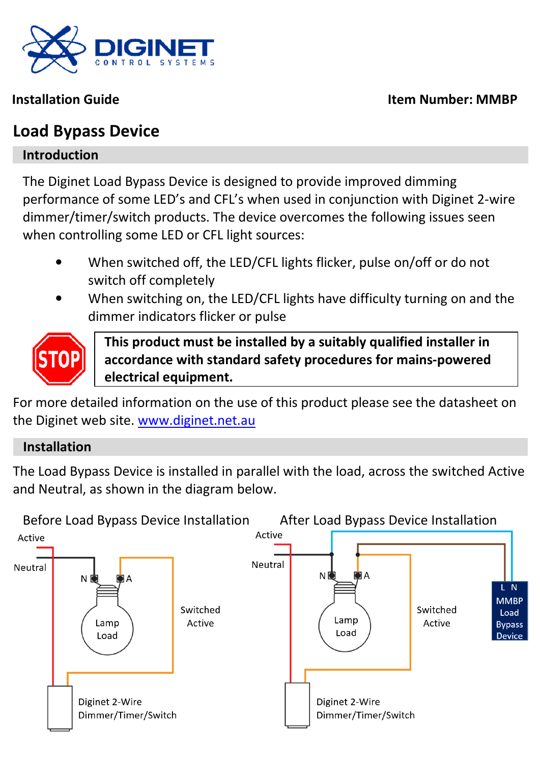**Installation Guide Item Number: MMBP**



# **Load Bypass Device**

## **Introduction**

The Diginet Load Bypass Device is designed to provide improved dimming performance of some LED's and CFL's when used in conjunction with Diginet 2-wire dimmer/timer/switch products. The device overcomes the following issues seen when controlling some LED or CFL light sources:

- When switched off, the LED/CFL lights flicker, pulse on/off or do not switch off completely
- When switching on, the LED/CFL lights have difficulty turning on and the dimmer indicators flicker or pulse



**This product must be installed by a suitably qualified installer in accordance with standard safety procedures for mains-powered electrical equipment.** 

For more detailed information on the use of this product please see the datasheet on the Diginet web site. www.diginet.net.au

## **Installation**

The Load Bypass Device is installed in parallel with the load, across the switched Active and Neutral, as shown in the diagram below.